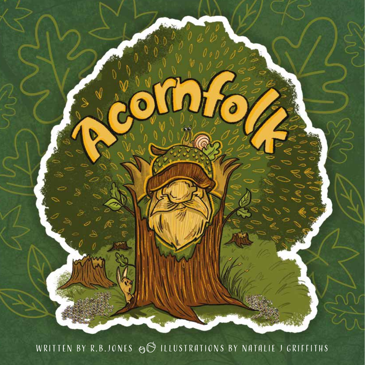

## WRITTEN BY R.B.JONES  $\odot$  ILLUSTRATIONS BY NATALIE J GRIFFITHS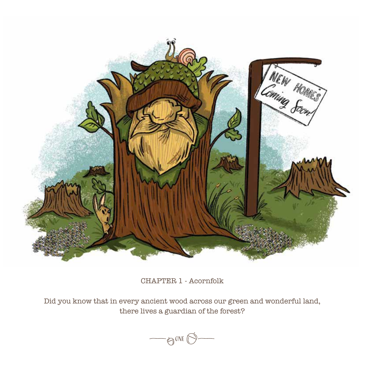

CHAPTER 1 - Acornfolk

Did you know that in every ancient wood across our green and wonderful land, there lives a guardian of the forest?

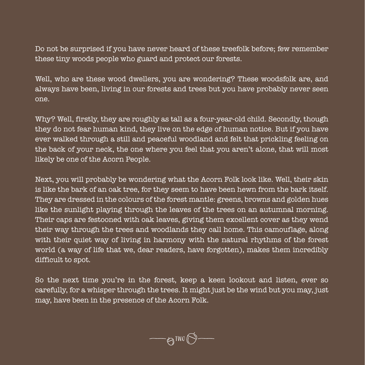Do not be surprised if you have never heard of these treefolk before; few remember these tiny woods people who guard and protect our forests.

Well, who are these wood dwellers, you are wondering? These woodsfolk are, and always have been, living in our forests and trees but you have probably never seen one.

Why? Well, firstly, they are roughly as tall as a four-year-old child. Secondly, though they do not fear human kind, they live on the edge of human notice. But if you have ever walked through a still and peaceful woodland and felt that prickling feeling on the back of your neck, the one where you feel that you aren't alone, that will most likely be one of the Acorn People.

Next, you will probably be wondering what the Acorn Folk look like. Well, their skin is like the bark of an oak tree, for they seem to have been hewn from the bark itself. They are dressed in the colours of the forest mantle: greens, browns and golden hues like the sunlight playing through the leaves of the trees on an autumnal morning. Their caps are festooned with oak leaves, giving them excellent cover as they wend their way through the trees and woodlands they call home. This camouflage, along with their quiet way of living in harmony with the natural rhythms of the forest world (a way of life that we, dear readers, have forgotten), makes them incredibly difficult to spot.

So the next time you're in the forest, keep a keen lookout and listen, ever so carefully, for a whisper through the trees. It might just be the wind but you may, just may, have been in the presence of the Acorn Folk.